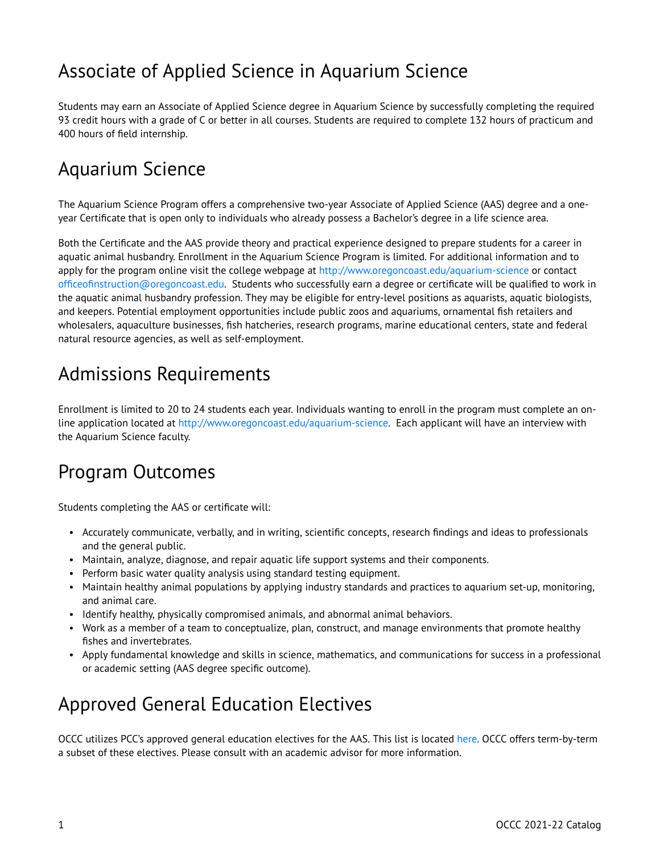# Associate of Applied Science in Aquarium Science

Students may earn an Associate of Applied Science degree in Aquarium Science by successfully completing the required 93 credit hours with a grade of C or better in all courses. Students are required to complete 132 hours of practicum and 400 hours of field internship.

### Aquarium Science

The Aquarium Science Program offers a comprehensive two-year Associate of Applied Science (AAS) degree and a oneyear Certificate that is open only to individuals who already possess a Bachelor's degree in a life science area.

Both the Certificate and the AAS provide theory and practical experience designed to prepare students for a career in aquatic animal husbandry. Enrollment in the Aquarium Science Program is limited. For additional information and to apply for the program online visit the college webpage at<http://www.oregoncoast.edu/aquarium-science> or contact [officeofinstruction@oregoncoast.edu](mailto:officeofinstruction@oregoncoast.edu). Students who successfully earn a degree or certificate will be qualified to work in the aquatic animal husbandry profession. They may be eligible for entry-level positions as aquarists, aquatic biologists, and keepers. Potential employment opportunities include public zoos and aquariums, ornamental fish retailers and wholesalers, aquaculture businesses, fish hatcheries, research programs, marine educational centers, state and federal natural resource agencies, as well as self-employment.

### Admissions Requirements

Enrollment is limited to 20 to 24 students each year. Individuals wanting to enroll in the program must complete an online application located at <http://www.oregoncoast.edu/aquarium-science>. Each applicant will have an interview with the Aquarium Science faculty.

#### Program Outcomes

Students completing the AAS or certificate will:

- Accurately communicate, verbally, and in writing, scientific concepts, research findings and ideas to professionals and the general public.
- Maintain, analyze, diagnose, and repair aquatic life support systems and their components.
- Perform basic water quality analysis using standard testing equipment.
- Maintain healthy animal populations by applying industry standards and practices to aquarium set-up, monitoring, and animal care.
- Identify healthy, physically compromised animals, and abnormal animal behaviors.
- Work as a member of a team to conceptualize, plan, construct, and manage environments that promote healthy fishes and invertebrates.
- Apply fundamental knowledge and skills in science, mathematics, and communications for success in a professional or academic setting (AAS degree specific outcome).

#### Approved General Education Electives

OCCC utilizes PCC's approved general education electives for the AAS. This list is located [here.](https://catalog.pcc.edu/generaleducationdisciplinestudies/) OCCC offers term-by-term a subset of these electives. Please consult with an academic advisor for more information.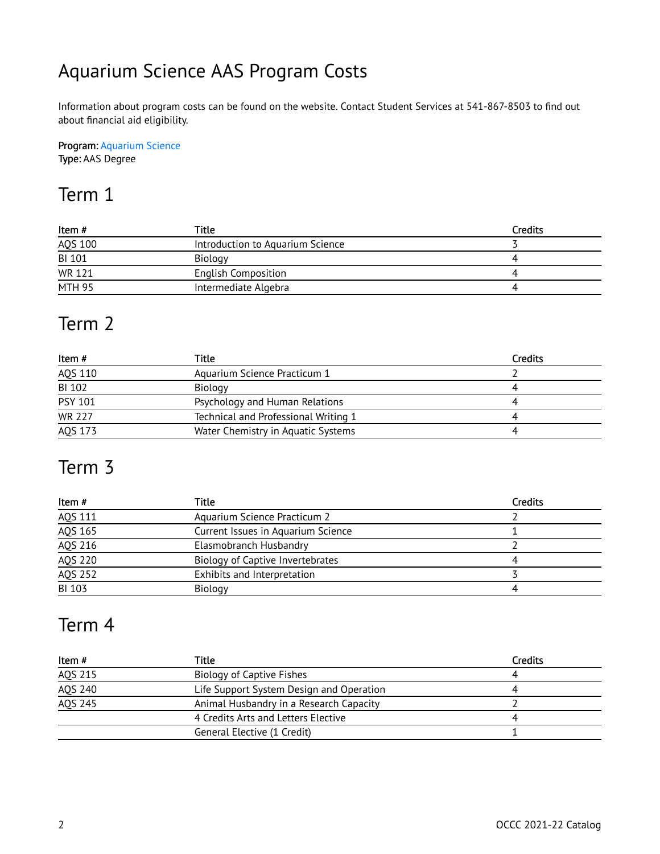# Aquarium Science AAS Program Costs

Information about program costs can be found on the website. Contact Student Services at 541-867-8503 to find out about financial aid eligibility.

Program: [Aquarium Science](http://catalog.oregoncoastcc.org/aquarium-science)  Type: AAS Degree

#### Term 1

| Item #  | Title                            | <b>Credits</b> |
|---------|----------------------------------|----------------|
| AQS 100 | Introduction to Aquarium Science |                |
| BI 101  | Biology                          |                |
| WR 121  | <b>English Composition</b>       |                |
| MTH 95  | Intermediate Algebra             |                |

#### Term 2

| Item #         | Title                                | Credits |
|----------------|--------------------------------------|---------|
| AQS 110        | Aquarium Science Practicum 1         |         |
| <b>BI 102</b>  | Biology                              |         |
| <b>PSY 101</b> | Psychology and Human Relations       |         |
| <b>WR 227</b>  | Technical and Professional Writing 1 |         |
| AQS 173        | Water Chemistry in Aquatic Systems   |         |

### Term 3

| Item#         | Title                              | <b>Credits</b> |
|---------------|------------------------------------|----------------|
| AQS 111       | Aquarium Science Practicum 2       |                |
| AQS 165       | Current Issues in Aquarium Science |                |
| AQS 216       | Elasmobranch Husbandry             |                |
| AQS 220       | Biology of Captive Invertebrates   |                |
| AQS 252       | Exhibits and Interpretation        |                |
| <b>BI 103</b> | Biology                            |                |

#### Term 4

| Item #         | Title                                    | <b>Credits</b> |
|----------------|------------------------------------------|----------------|
| AQS 215        | Biology of Captive Fishes                |                |
| AQS 240        | Life Support System Design and Operation |                |
| <b>AQS 245</b> | Animal Husbandry in a Research Capacity  |                |
|                | 4 Credits Arts and Letters Elective      |                |
|                | General Elective (1 Credit)              |                |